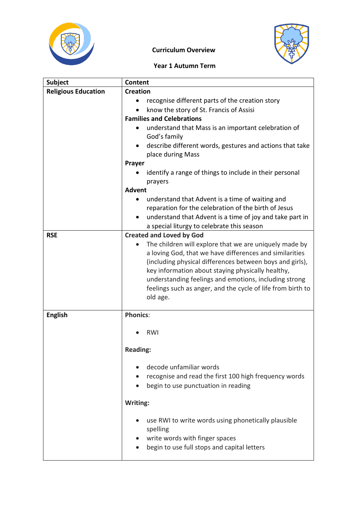



## **Curriculum Overview**

## **Year 1 Autumn Term**

| <b>Subject</b>             | <b>Content</b>                                                                                                                  |  |  |
|----------------------------|---------------------------------------------------------------------------------------------------------------------------------|--|--|
| <b>Religious Education</b> | <b>Creation</b>                                                                                                                 |  |  |
|                            | recognise different parts of the creation story                                                                                 |  |  |
|                            | know the story of St. Francis of Assisi                                                                                         |  |  |
|                            | <b>Families and Celebrations</b>                                                                                                |  |  |
|                            | understand that Mass is an important celebration of<br>God's family<br>describe different words, gestures and actions that take |  |  |
|                            | place during Mass                                                                                                               |  |  |
|                            | Prayer                                                                                                                          |  |  |
|                            | identify a range of things to include in their personal                                                                         |  |  |
|                            | prayers                                                                                                                         |  |  |
|                            | <b>Advent</b>                                                                                                                   |  |  |
|                            | understand that Advent is a time of waiting and<br>٠                                                                            |  |  |
|                            | reparation for the celebration of the birth of Jesus                                                                            |  |  |
|                            | understand that Advent is a time of joy and take part in<br>a special liturgy to celebrate this season                          |  |  |
| <b>RSE</b>                 | <b>Created and Loved by God</b>                                                                                                 |  |  |
|                            | The children will explore that we are uniquely made by                                                                          |  |  |
|                            | a loving God, that we have differences and similarities                                                                         |  |  |
|                            | (including physical differences between boys and girls),                                                                        |  |  |
|                            | key information about staying physically healthy,                                                                               |  |  |
|                            | understanding feelings and emotions, including strong                                                                           |  |  |
|                            | feelings such as anger, and the cycle of life from birth to                                                                     |  |  |
|                            | old age.                                                                                                                        |  |  |
| <b>English</b>             | <b>Phonics:</b>                                                                                                                 |  |  |
|                            |                                                                                                                                 |  |  |
|                            | RWI                                                                                                                             |  |  |
|                            |                                                                                                                                 |  |  |
|                            | <b>Reading:</b>                                                                                                                 |  |  |
|                            | decode unfamiliar words                                                                                                         |  |  |
|                            | recognise and read the first 100 high frequency words                                                                           |  |  |
|                            | begin to use punctuation in reading                                                                                             |  |  |
|                            |                                                                                                                                 |  |  |
|                            | Writing:                                                                                                                        |  |  |
|                            | use RWI to write words using phonetically plausible                                                                             |  |  |
|                            | spelling                                                                                                                        |  |  |
|                            | write words with finger spaces                                                                                                  |  |  |
|                            | begin to use full stops and capital letters                                                                                     |  |  |
|                            |                                                                                                                                 |  |  |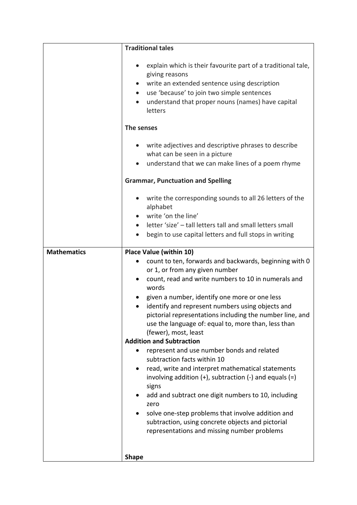|                    | <b>Traditional tales</b>                                                                                                                                                                                                                                                                                                                                                                                                         |  |  |
|--------------------|----------------------------------------------------------------------------------------------------------------------------------------------------------------------------------------------------------------------------------------------------------------------------------------------------------------------------------------------------------------------------------------------------------------------------------|--|--|
|                    | explain which is their favourite part of a traditional tale,<br>$\bullet$<br>giving reasons<br>write an extended sentence using description<br>$\bullet$<br>use 'because' to join two simple sentences<br>$\bullet$<br>understand that proper nouns (names) have capital<br>$\bullet$<br>letters                                                                                                                                 |  |  |
|                    | The senses                                                                                                                                                                                                                                                                                                                                                                                                                       |  |  |
|                    | write adjectives and descriptive phrases to describe<br>what can be seen in a picture<br>understand that we can make lines of a poem rhyme                                                                                                                                                                                                                                                                                       |  |  |
|                    | <b>Grammar, Punctuation and Spelling</b>                                                                                                                                                                                                                                                                                                                                                                                         |  |  |
|                    | write the corresponding sounds to all 26 letters of the<br>alphabet<br>write 'on the line'<br>letter 'size' - tall letters tall and small letters small<br>begin to use capital letters and full stops in writing                                                                                                                                                                                                                |  |  |
| <b>Mathematics</b> | <b>Place Value (within 10)</b>                                                                                                                                                                                                                                                                                                                                                                                                   |  |  |
|                    | count to ten, forwards and backwards, beginning with 0<br>or 1, or from any given number<br>count, read and write numbers to 10 in numerals and<br>words<br>given a number, identify one more or one less<br>identify and represent numbers using objects and<br>pictorial representations including the number line, and<br>use the language of: equal to, more than, less than<br>(fewer), most, least                         |  |  |
|                    | <b>Addition and Subtraction</b>                                                                                                                                                                                                                                                                                                                                                                                                  |  |  |
|                    | represent and use number bonds and related<br>subtraction facts within 10<br>read, write and interpret mathematical statements<br>involving addition $(+)$ , subtraction $(-)$ and equals $(=)$<br>signs<br>add and subtract one digit numbers to 10, including<br>zero<br>solve one-step problems that involve addition and<br>subtraction, using concrete objects and pictorial<br>representations and missing number problems |  |  |
|                    | <b>Shape</b>                                                                                                                                                                                                                                                                                                                                                                                                                     |  |  |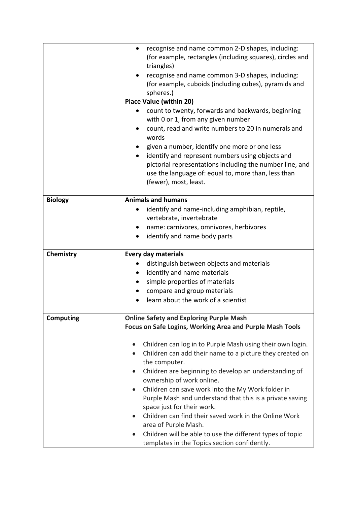|                  | recognise and name common 2-D shapes, including:<br>$\bullet$<br>(for example, rectangles (including squares), circles and<br>triangles) |
|------------------|------------------------------------------------------------------------------------------------------------------------------------------|
|                  | recognise and name common 3-D shapes, including:<br>(for example, cuboids (including cubes), pyramids and<br>spheres.)                   |
|                  | <b>Place Value (within 20)</b>                                                                                                           |
|                  | count to twenty, forwards and backwards, beginning                                                                                       |
|                  | with 0 or 1, from any given number                                                                                                       |
|                  | count, read and write numbers to 20 in numerals and<br>words                                                                             |
|                  | given a number, identify one more or one less                                                                                            |
|                  | identify and represent numbers using objects and<br>$\bullet$                                                                            |
|                  | pictorial representations including the number line, and                                                                                 |
|                  | use the language of: equal to, more than, less than                                                                                      |
|                  | (fewer), most, least.                                                                                                                    |
| <b>Biology</b>   | <b>Animals and humans</b>                                                                                                                |
|                  | identify and name-including amphibian, reptile,                                                                                          |
|                  | vertebrate, invertebrate                                                                                                                 |
|                  | name: carnivores, omnivores, herbivores<br>$\bullet$                                                                                     |
|                  | identify and name body parts                                                                                                             |
|                  |                                                                                                                                          |
| Chemistry        | <b>Every day materials</b>                                                                                                               |
|                  | distinguish between objects and materials                                                                                                |
|                  | identify and name materials<br>٠                                                                                                         |
|                  | simple properties of materials<br>$\bullet$                                                                                              |
|                  |                                                                                                                                          |
|                  | compare and group materials                                                                                                              |
|                  | learn about the work of a scientist                                                                                                      |
|                  |                                                                                                                                          |
| <b>Computing</b> | <b>Online Safety and Exploring Purple Mash</b><br>Focus on Safe Logins, Working Area and Purple Mash Tools                               |
|                  | Children can log in to Purple Mash using their own login.                                                                                |
|                  | Children can add their name to a picture they created on<br>$\bullet$                                                                    |
|                  | the computer.                                                                                                                            |
|                  | Children are beginning to develop an understanding of<br>$\bullet$                                                                       |
|                  | ownership of work online.                                                                                                                |
|                  | Children can save work into the My Work folder in<br>$\bullet$                                                                           |
|                  | Purple Mash and understand that this is a private saving                                                                                 |
|                  | space just for their work.                                                                                                               |
|                  | Children can find their saved work in the Online Work                                                                                    |
|                  | area of Purple Mash.                                                                                                                     |
|                  | Children will be able to use the different types of topic<br>templates in the Topics section confidently.                                |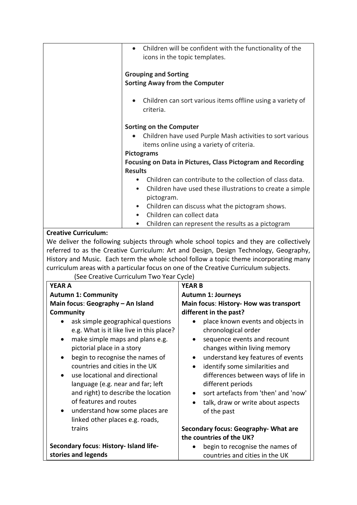|                                                                                         | Children will be confident with the functionality of the<br>icons in the topic templates. |
|-----------------------------------------------------------------------------------------|-------------------------------------------------------------------------------------------|
| <b>Grouping and Sorting</b>                                                             |                                                                                           |
| <b>Sorting Away from the Computer</b>                                                   |                                                                                           |
|                                                                                         |                                                                                           |
| criteria.                                                                               | Children can sort various items offline using a variety of                                |
| <b>Sorting on the Computer</b>                                                          |                                                                                           |
|                                                                                         | Children have used Purple Mash activities to sort various                                 |
|                                                                                         | items online using a variety of criteria.                                                 |
| <b>Pictograms</b>                                                                       |                                                                                           |
|                                                                                         | <b>Focusing on Data in Pictures, Class Pictogram and Recording</b>                        |
| <b>Results</b>                                                                          |                                                                                           |
| $\bullet$                                                                               | Children can contribute to the collection of class data.                                  |
|                                                                                         | Children have used these illustrations to create a simple                                 |
| pictogram.                                                                              |                                                                                           |
|                                                                                         | Children can discuss what the pictogram shows.<br>Children can collect data               |
| $\bullet$<br>٠                                                                          | Children can represent the results as a pictogram                                         |
| <b>Creative Curriculum:</b>                                                             |                                                                                           |
| We deliver the following subjects through whole school topics and they are collectively |                                                                                           |
| referred to as the Creative Curriculum: Art and Design, Design Technology, Geography,   |                                                                                           |
|                                                                                         | History and Music. Each term the whole school follow a topic theme incorporating many     |
| curriculum areas with a particular focus on one of the Creative Curriculum subjects.    |                                                                                           |
| (See Creative Curriculum Two Year Cycle)                                                |                                                                                           |
| <b>YEAR A</b>                                                                           | <b>YEAR B</b>                                                                             |
| <b>Autumn 1: Community</b>                                                              | <b>Autumn 1: Journeys</b>                                                                 |
| Main focus: Geography - An Island                                                       | Main focus: History- How was transport                                                    |
| <b>Community</b>                                                                        | different in the past?                                                                    |
| ask simple geographical questions                                                       | place known events and objects in                                                         |
| e.g. What is it like live in this place?                                                | chronological order                                                                       |
| make simple maps and plans e.g.                                                         | sequence events and recount                                                               |
| pictorial place in a story                                                              | changes within living memory                                                              |
| begin to recognise the names of                                                         | understand key features of events                                                         |
| countries and cities in the UK<br>use locational and directional                        | identify some similarities and                                                            |
| language (e.g. near and far; left                                                       | differences between ways of life in<br>different periods                                  |
| and right) to describe the location                                                     | sort artefacts from 'then' and 'now'                                                      |
| of features and routes                                                                  | talk, draw or write about aspects                                                         |
| understand how some places are                                                          | of the past                                                                               |
| linked other places e.g. roads,                                                         |                                                                                           |
| trains                                                                                  | Secondary focus: Geography- What are                                                      |
|                                                                                         | the countries of the UK?                                                                  |
| Secondary focus: History- Island life-                                                  | begin to recognise the names of                                                           |
| stories and legends                                                                     | countries and cities in the UK                                                            |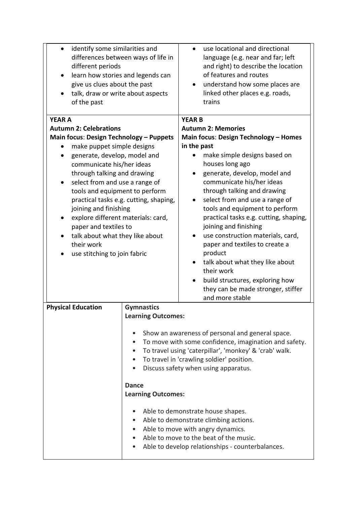| identify some similarities and<br>differences between ways of life in<br>different periods<br>learn how stories and legends can<br>$\bullet$<br>give us clues about the past<br>talk, draw or write about aspects<br>$\bullet$<br>of the past                                                                                                                                                                                                                                                                                       |                                                                                             | use locational and directional<br>language (e.g. near and far; left<br>and right) to describe the location<br>of features and routes<br>understand how some places are<br>linked other places e.g. roads,<br>trains                                                                                                                                                                                                                                                                                                                                                                                                                               |
|-------------------------------------------------------------------------------------------------------------------------------------------------------------------------------------------------------------------------------------------------------------------------------------------------------------------------------------------------------------------------------------------------------------------------------------------------------------------------------------------------------------------------------------|---------------------------------------------------------------------------------------------|---------------------------------------------------------------------------------------------------------------------------------------------------------------------------------------------------------------------------------------------------------------------------------------------------------------------------------------------------------------------------------------------------------------------------------------------------------------------------------------------------------------------------------------------------------------------------------------------------------------------------------------------------|
| <b>YEAR A</b><br><b>Autumn 2: Celebrations</b><br><b>Main focus: Design Technology - Puppets</b><br>make puppet simple designs<br>generate, develop, model and<br>communicate his/her ideas<br>through talking and drawing<br>select from and use a range of<br>$\bullet$<br>tools and equipment to perform<br>practical tasks e.g. cutting, shaping,<br>joining and finishing<br>explore different materials: card,<br>٠<br>paper and textiles to<br>talk about what they like about<br>their work<br>use stitching to join fabric |                                                                                             | <b>YEAR B</b><br><b>Autumn 2: Memories</b><br>Main focus: Design Technology - Homes<br>in the past<br>make simple designs based on<br>houses long ago<br>generate, develop, model and<br>communicate his/her ideas<br>through talking and drawing<br>select from and use a range of<br>tools and equipment to perform<br>practical tasks e.g. cutting, shaping,<br>joining and finishing<br>use construction materials, card,<br>paper and textiles to create a<br>product<br>talk about what they like about<br>$\bullet$<br>their work<br>build structures, exploring how<br>$\bullet$<br>they can be made stronger, stiffer<br>and more stable |
| <b>Physical Education</b>                                                                                                                                                                                                                                                                                                                                                                                                                                                                                                           | <b>Gymnastics</b><br><b>Learning Outcomes:</b><br><b>Dance</b><br><b>Learning Outcomes:</b> | Show an awareness of personal and general space.<br>To move with some confidence, imagination and safety.<br>To travel using 'caterpillar', 'monkey' & 'crab' walk.<br>To travel in 'crawling soldier' position.<br>Discuss safety when using apparatus.<br>Able to demonstrate house shapes.<br>Able to demonstrate climbing actions.<br>Able to move with angry dynamics.<br>Able to move to the beat of the music.<br>Able to develop relationships - counterbalances.                                                                                                                                                                         |